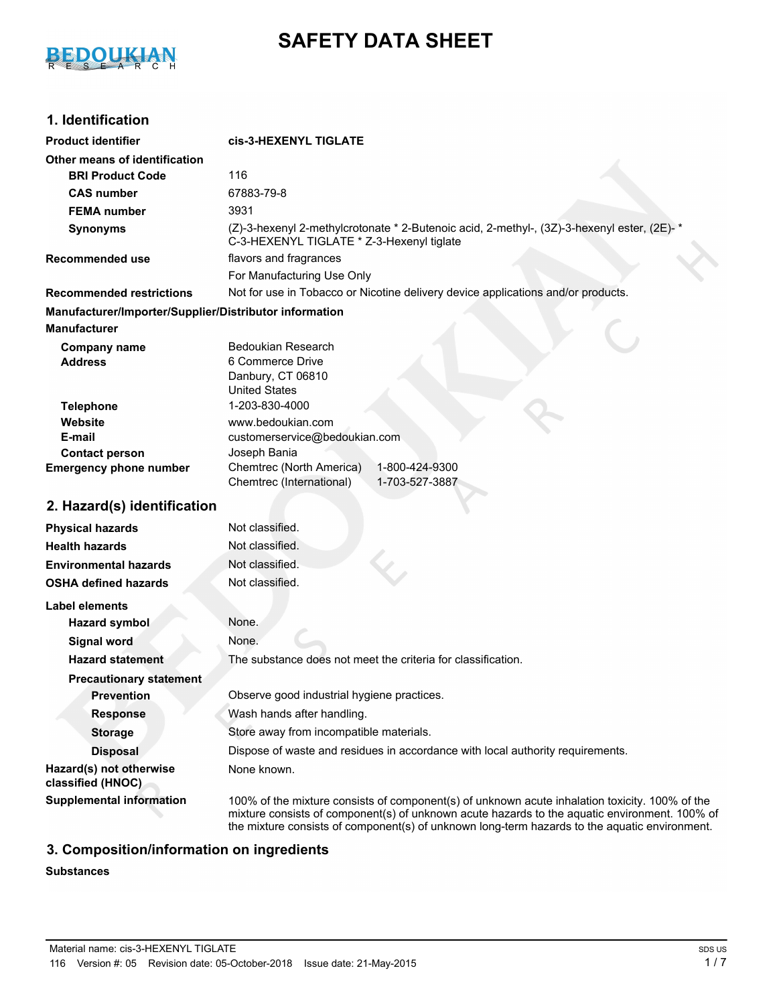

# **SAFETY DATA SHEET**

# **1. Identification**

| <b>Product identifier</b>                              | cis-3-HEXENYL TIGLATE                                                                                                                                                                                                                                                                            |  |
|--------------------------------------------------------|--------------------------------------------------------------------------------------------------------------------------------------------------------------------------------------------------------------------------------------------------------------------------------------------------|--|
| Other means of identification                          |                                                                                                                                                                                                                                                                                                  |  |
| <b>BRI Product Code</b>                                | 116                                                                                                                                                                                                                                                                                              |  |
| <b>CAS number</b>                                      | 67883-79-8                                                                                                                                                                                                                                                                                       |  |
| <b>FEMA number</b>                                     | 3931                                                                                                                                                                                                                                                                                             |  |
| <b>Synonyms</b>                                        | (Z)-3-hexenyl 2-methylcrotonate * 2-Butenoic acid, 2-methyl-, (3Z)-3-hexenyl ester, (2E)- *<br>C-3-HEXENYL TIGLATE * Z-3-Hexenyl tiglate                                                                                                                                                         |  |
| <b>Recommended use</b>                                 | flavors and fragrances                                                                                                                                                                                                                                                                           |  |
|                                                        | For Manufacturing Use Only                                                                                                                                                                                                                                                                       |  |
| <b>Recommended restrictions</b>                        | Not for use in Tobacco or Nicotine delivery device applications and/or products.                                                                                                                                                                                                                 |  |
| Manufacturer/Importer/Supplier/Distributor information |                                                                                                                                                                                                                                                                                                  |  |
| <b>Manufacturer</b>                                    |                                                                                                                                                                                                                                                                                                  |  |
| <b>Company name</b><br><b>Address</b>                  | <b>Bedoukian Research</b><br>6 Commerce Drive<br>Danbury, CT 06810<br><b>United States</b>                                                                                                                                                                                                       |  |
| <b>Telephone</b>                                       | 1-203-830-4000                                                                                                                                                                                                                                                                                   |  |
| Website                                                | www.bedoukian.com                                                                                                                                                                                                                                                                                |  |
| E-mail                                                 | customerservice@bedoukian.com                                                                                                                                                                                                                                                                    |  |
| <b>Contact person</b><br><b>Emergency phone number</b> | Joseph Bania<br>Chemtrec (North America)<br>1-800-424-9300                                                                                                                                                                                                                                       |  |
|                                                        | Chemtrec (International)<br>1-703-527-3887                                                                                                                                                                                                                                                       |  |
| 2. Hazard(s) identification                            |                                                                                                                                                                                                                                                                                                  |  |
| <b>Physical hazards</b>                                | Not classified.                                                                                                                                                                                                                                                                                  |  |
| <b>Health hazards</b>                                  | Not classified.                                                                                                                                                                                                                                                                                  |  |
| <b>Environmental hazards</b>                           | Not classified.                                                                                                                                                                                                                                                                                  |  |
| <b>OSHA defined hazards</b>                            | Not classified.                                                                                                                                                                                                                                                                                  |  |
| Label elements                                         |                                                                                                                                                                                                                                                                                                  |  |
| <b>Hazard symbol</b>                                   | None.                                                                                                                                                                                                                                                                                            |  |
| <b>Signal word</b>                                     | None.                                                                                                                                                                                                                                                                                            |  |
|                                                        | The substance does not meet the criteria for classification.                                                                                                                                                                                                                                     |  |
| <b>Hazard statement</b>                                |                                                                                                                                                                                                                                                                                                  |  |
| <b>Precautionary statement</b>                         |                                                                                                                                                                                                                                                                                                  |  |
| <b>Prevention</b>                                      | Observe good industrial hygiene practices.                                                                                                                                                                                                                                                       |  |
| <b>Response</b>                                        | Wash hands after handling.                                                                                                                                                                                                                                                                       |  |
| <b>Storage</b>                                         | Store away from incompatible materials.                                                                                                                                                                                                                                                          |  |
| <b>Disposal</b>                                        | Dispose of waste and residues in accordance with local authority requirements.                                                                                                                                                                                                                   |  |
| Hazard(s) not otherwise<br>classified (HNOC)           | None known.                                                                                                                                                                                                                                                                                      |  |
| <b>Supplemental information</b>                        | 100% of the mixture consists of component(s) of unknown acute inhalation toxicity. 100% of the<br>mixture consists of component(s) of unknown acute hazards to the aquatic environment. 100% of<br>the mixture consists of component(s) of unknown long-term hazards to the aquatic environment. |  |

# **3. Composition/information on ingredients**

#### **Substances**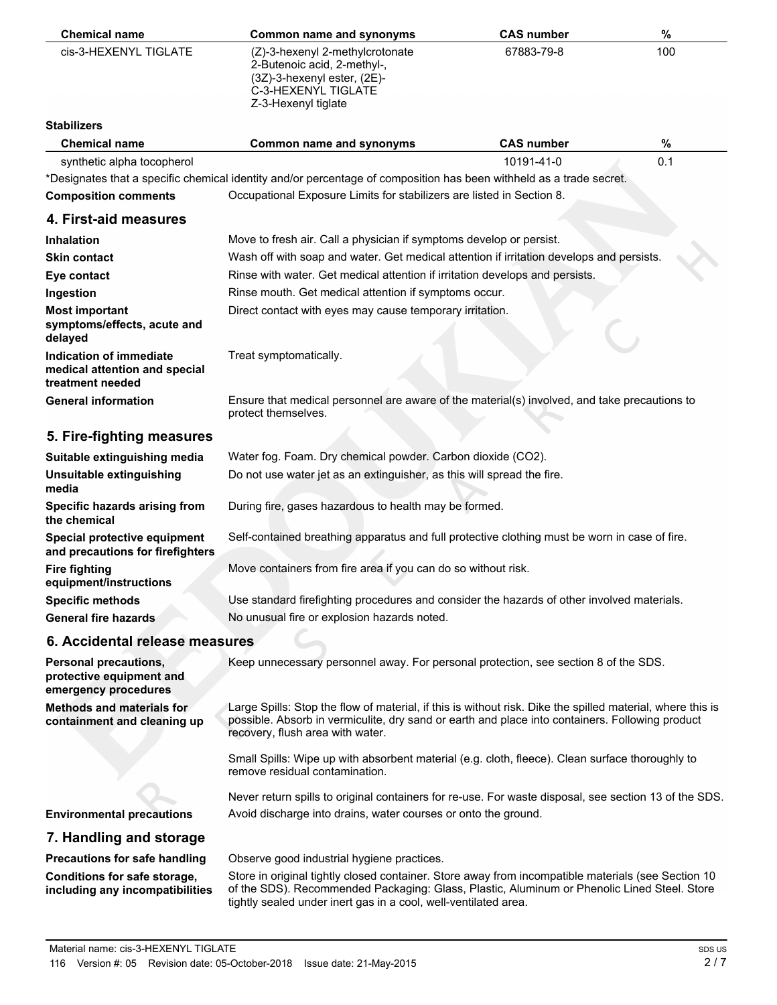| <b>Chemical name</b>                                                             | <b>Common name and synonyms</b>                                                                                                                                                                                                                   | <b>CAS number</b> | $\%$ |
|----------------------------------------------------------------------------------|---------------------------------------------------------------------------------------------------------------------------------------------------------------------------------------------------------------------------------------------------|-------------------|------|
| cis-3-HEXENYL TIGLATE                                                            | (Z)-3-hexenyl 2-methylcrotonate<br>2-Butenoic acid, 2-methyl-,<br>(3Z)-3-hexenyl ester, (2E)-<br>C-3-HEXENYL TIGLATE<br>Z-3-Hexenyl tiglate                                                                                                       | 67883-79-8        | 100  |
| <b>Stabilizers</b>                                                               |                                                                                                                                                                                                                                                   |                   |      |
| <b>Chemical name</b>                                                             | <b>Common name and synonyms</b>                                                                                                                                                                                                                   | <b>CAS number</b> | $\%$ |
| synthetic alpha tocopherol                                                       |                                                                                                                                                                                                                                                   | 10191-41-0        | 0.1  |
|                                                                                  | *Designates that a specific chemical identity and/or percentage of composition has been withheld as a trade secret.                                                                                                                               |                   |      |
| <b>Composition comments</b>                                                      | Occupational Exposure Limits for stabilizers are listed in Section 8.                                                                                                                                                                             |                   |      |
| 4. First-aid measures                                                            |                                                                                                                                                                                                                                                   |                   |      |
| <b>Inhalation</b>                                                                | Move to fresh air. Call a physician if symptoms develop or persist.                                                                                                                                                                               |                   |      |
| <b>Skin contact</b>                                                              | Wash off with soap and water. Get medical attention if irritation develops and persists.                                                                                                                                                          |                   |      |
| Eye contact                                                                      | Rinse with water. Get medical attention if irritation develops and persists.                                                                                                                                                                      |                   |      |
| Ingestion                                                                        | Rinse mouth. Get medical attention if symptoms occur.                                                                                                                                                                                             |                   |      |
| <b>Most important</b>                                                            | Direct contact with eyes may cause temporary irritation.                                                                                                                                                                                          |                   |      |
| symptoms/effects, acute and<br>delayed                                           |                                                                                                                                                                                                                                                   |                   |      |
| Indication of immediate<br>medical attention and special<br>treatment needed     | Treat symptomatically.                                                                                                                                                                                                                            |                   |      |
| <b>General information</b>                                                       | Ensure that medical personnel are aware of the material(s) involved, and take precautions to<br>protect themselves.                                                                                                                               |                   |      |
| 5. Fire-fighting measures                                                        |                                                                                                                                                                                                                                                   |                   |      |
| Suitable extinguishing media                                                     | Water fog. Foam. Dry chemical powder. Carbon dioxide (CO2).                                                                                                                                                                                       |                   |      |
| Unsuitable extinguishing<br>media                                                | Do not use water jet as an extinguisher, as this will spread the fire.                                                                                                                                                                            |                   |      |
| Specific hazards arising from<br>the chemical                                    | During fire, gases hazardous to health may be formed.                                                                                                                                                                                             |                   |      |
| Special protective equipment<br>and precautions for firefighters                 | Self-contained breathing apparatus and full protective clothing must be worn in case of fire.                                                                                                                                                     |                   |      |
| <b>Fire fighting</b><br>equipment/instructions                                   | Move containers from fire area if you can do so without risk.                                                                                                                                                                                     |                   |      |
| <b>Specific methods</b>                                                          | Use standard firefighting procedures and consider the hazards of other involved materials.                                                                                                                                                        |                   |      |
| <b>General fire hazards</b>                                                      | No unusual fire or explosion hazards noted.                                                                                                                                                                                                       |                   |      |
| 6. Accidental release measures                                                   |                                                                                                                                                                                                                                                   |                   |      |
| <b>Personal precautions,</b><br>protective equipment and<br>emergency procedures | Keep unnecessary personnel away. For personal protection, see section 8 of the SDS.                                                                                                                                                               |                   |      |
| <b>Methods and materials for</b><br>containment and cleaning up                  | Large Spills: Stop the flow of material, if this is without risk. Dike the spilled material, where this is<br>possible. Absorb in vermiculite, dry sand or earth and place into containers. Following product<br>recovery, flush area with water. |                   |      |
|                                                                                  | Small Spills: Wipe up with absorbent material (e.g. cloth, fleece). Clean surface thoroughly to<br>remove residual contamination.                                                                                                                 |                   |      |
|                                                                                  | Never return spills to original containers for re-use. For waste disposal, see section 13 of the SDS.                                                                                                                                             |                   |      |
| <b>Environmental precautions</b>                                                 | Avoid discharge into drains, water courses or onto the ground.                                                                                                                                                                                    |                   |      |
| 7. Handling and storage                                                          |                                                                                                                                                                                                                                                   |                   |      |
| <b>Precautions for safe handling</b>                                             | Observe good industrial hygiene practices.                                                                                                                                                                                                        |                   |      |
| Conditions for safe storage,<br>including any incompatibilities                  | Store in original tightly closed container. Store away from incompatible materials (see Section 10<br>of the SDS). Recommended Packaging: Glass, Plastic, Aluminum or Phenolic Lined Steel. Store                                                 |                   |      |

tightly sealed under inert gas in a cool, well-ventilated area.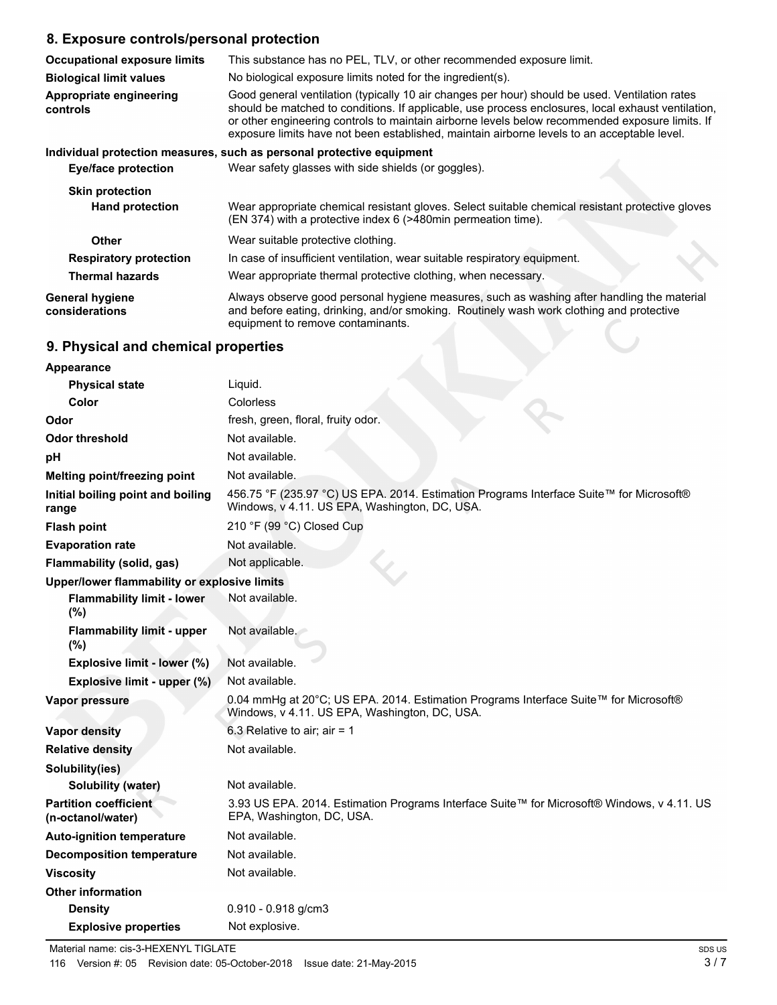# **8. Exposure controls/personal protection**

| <b>Occupational exposure limits</b>        | This substance has no PEL, TLV, or other recommended exposure limit.                                                                                                                                                                                                                                                                                                                                   |
|--------------------------------------------|--------------------------------------------------------------------------------------------------------------------------------------------------------------------------------------------------------------------------------------------------------------------------------------------------------------------------------------------------------------------------------------------------------|
| <b>Biological limit values</b>             | No biological exposure limits noted for the ingredient(s).                                                                                                                                                                                                                                                                                                                                             |
| <b>Appropriate engineering</b><br>controls | Good general ventilation (typically 10 air changes per hour) should be used. Ventilation rates<br>should be matched to conditions. If applicable, use process enclosures, local exhaust ventilation,<br>or other engineering controls to maintain airborne levels below recommended exposure limits. If<br>exposure limits have not been established, maintain airborne levels to an acceptable level. |
|                                            | Individual protection measures, such as personal protective equipment                                                                                                                                                                                                                                                                                                                                  |
| <b>Eye/face protection</b>                 | Wear safety glasses with side shields (or goggles).                                                                                                                                                                                                                                                                                                                                                    |
| <b>Skin protection</b>                     |                                                                                                                                                                                                                                                                                                                                                                                                        |
| <b>Hand protection</b>                     | Wear appropriate chemical resistant gloves. Select suitable chemical resistant protective gloves<br>(EN 374) with a protective index 6 (>480min permeation time).                                                                                                                                                                                                                                      |
| <b>Other</b>                               | Wear suitable protective clothing.                                                                                                                                                                                                                                                                                                                                                                     |
| <b>Respiratory protection</b>              | In case of insufficient ventilation, wear suitable respiratory equipment.                                                                                                                                                                                                                                                                                                                              |
| <b>Thermal hazards</b>                     | Wear appropriate thermal protective clothing, when necessary.                                                                                                                                                                                                                                                                                                                                          |
| <b>General hygiene</b><br>considerations   | Always observe good personal hygiene measures, such as washing after handling the material<br>and before eating, drinking, and/or smoking. Routinely wash work clothing and protective<br>equipment to remove contaminants.                                                                                                                                                                            |
| 9. Physical and chemical properties        |                                                                                                                                                                                                                                                                                                                                                                                                        |

# **9. Physical and chemical properties**

| <b>Appearance</b>                                 |                                                                                                                                          |
|---------------------------------------------------|------------------------------------------------------------------------------------------------------------------------------------------|
| <b>Physical state</b>                             | Liquid.                                                                                                                                  |
| Color                                             | Colorless                                                                                                                                |
| Odor                                              | fresh, green, floral, fruity odor.                                                                                                       |
| <b>Odor threshold</b>                             | Not available.                                                                                                                           |
| рH                                                | Not available.                                                                                                                           |
| Melting point/freezing point                      | Not available.                                                                                                                           |
| Initial boiling point and boiling<br>range        | 456.75 °F (235.97 °C) US EPA. 2014. Estimation Programs Interface Suite™ for Microsoft®<br>Windows, v 4.11. US EPA, Washington, DC, USA. |
| <b>Flash point</b>                                | 210 °F (99 °C) Closed Cup                                                                                                                |
| <b>Evaporation rate</b>                           | Not available.                                                                                                                           |
| Flammability (solid, gas)                         | Not applicable.                                                                                                                          |
| Upper/lower flammability or explosive limits      |                                                                                                                                          |
| <b>Flammability limit - lower</b><br>(%)          | Not available.                                                                                                                           |
| <b>Flammability limit - upper</b><br>(%)          | Not available.                                                                                                                           |
| Explosive limit - lower (%)                       | Not available.                                                                                                                           |
| Explosive limit - upper (%)                       | Not available.                                                                                                                           |
| <b>Vapor pressure</b>                             | 0.04 mmHg at 20°C; US EPA. 2014. Estimation Programs Interface Suite™ for Microsoft®<br>Windows, v 4.11. US EPA, Washington, DC, USA.    |
| <b>Vapor density</b>                              | 6.3 Relative to air; air = $1$                                                                                                           |
| <b>Relative density</b>                           | Not available.                                                                                                                           |
| Solubility(ies)                                   |                                                                                                                                          |
| Solubility (water)                                | Not available.                                                                                                                           |
| <b>Partition coefficient</b><br>(n-octanol/water) | 3.93 US EPA. 2014. Estimation Programs Interface Suite™ for Microsoft® Windows, v 4.11. US<br>EPA, Washington, DC, USA.                  |
| <b>Auto-ignition temperature</b>                  | Not available.                                                                                                                           |
| <b>Decomposition temperature</b>                  | Not available.                                                                                                                           |
| <b>Viscosity</b>                                  | Not available.                                                                                                                           |
| <b>Other information</b>                          |                                                                                                                                          |
| <b>Density</b>                                    | $0.910 - 0.918$ g/cm3                                                                                                                    |
| <b>Explosive properties</b>                       | Not explosive.                                                                                                                           |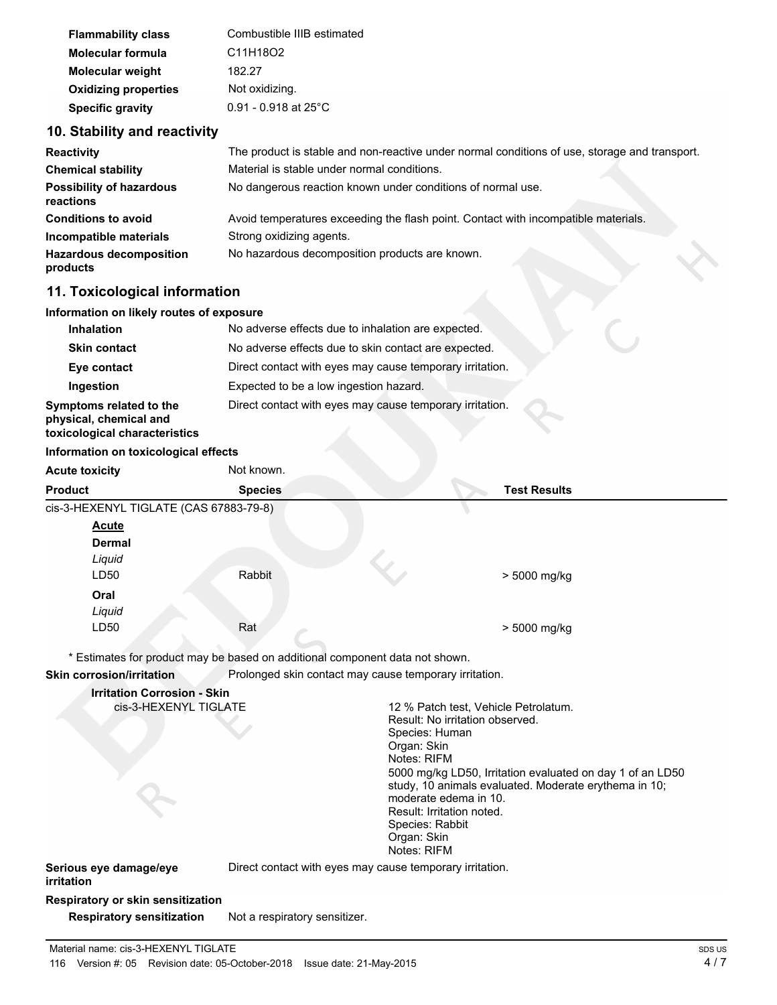| <b>Flammability class</b>   | Combustible IIIB estimated |
|-----------------------------|----------------------------|
| <b>Molecular formula</b>    | C11H18O2                   |
| <b>Molecular weight</b>     | 182.27                     |
| <b>Oxidizing properties</b> | Not oxidizing.             |
| <b>Specific gravity</b>     | $0.91 - 0.918$ at 25°C     |

### **10. Stability and reactivity**

| <b>Reactivity</b>                            | The product is stable and non-reactive under normal conditions of use, storage and transport. |  |  |
|----------------------------------------------|-----------------------------------------------------------------------------------------------|--|--|
| <b>Chemical stability</b>                    | Material is stable under normal conditions.                                                   |  |  |
| <b>Possibility of hazardous</b><br>reactions | No dangerous reaction known under conditions of normal use.                                   |  |  |
| <b>Conditions to avoid</b>                   | Avoid temperatures exceeding the flash point. Contact with incompatible materials.            |  |  |
| Incompatible materials                       | Strong oxidizing agents.                                                                      |  |  |
| <b>Hazardous decomposition</b><br>products   | No hazardous decomposition products are known.                                                |  |  |

### **11. Toxicological information**

#### **Information on likely routes of exposure**

| <b>Inhalation</b>                                                                  | No adverse effects due to inhalation are expected.       |  |  |
|------------------------------------------------------------------------------------|----------------------------------------------------------|--|--|
| <b>Skin contact</b>                                                                | No adverse effects due to skin contact are expected.     |  |  |
| Eye contact                                                                        | Direct contact with eyes may cause temporary irritation. |  |  |
| Ingestion                                                                          | Expected to be a low ingestion hazard.                   |  |  |
| Symptoms related to the<br>physical, chemical and<br>toxicological characteristics | Direct contact with eyes may cause temporary irritation. |  |  |
|                                                                                    |                                                          |  |  |

#### **Information on toxicological effects**

| <b>Acute toxicity</b>                  | Not known.     |                     |
|----------------------------------------|----------------|---------------------|
| <b>Product</b>                         | <b>Species</b> | <b>Test Results</b> |
| cis-3-HEXENYL TIGLATE (CAS 67883-79-8) |                |                     |
| <b>Acute</b>                           |                |                     |
| <b>Dermal</b>                          |                |                     |
| Liquid                                 |                |                     |
| LD50                                   | Rabbit         | > 5000 mg/kg        |
| Oral                                   |                |                     |
| Liquid                                 |                |                     |
| LD50                                   | Rat            | > 5000 mg/kg        |
|                                        |                |                     |

\* Estimates for product may be based on additional component data not shown.

**Skin corrosion/irritation** Prolonged skin contact may cause temporary irritation.

# **Irritation Corrosion - Skin**

12 % Patch test, Vehicle Petrolatum. Result: No irritation observed. Species: Human Organ: Skin Notes: RIFM 5000 mg/kg LD50, Irritation evaluated on day 1 of an LD50 study, 10 animals evaluated. Moderate erythema in 10; moderate edema in 10. Result: Irritation noted. Species: Rabbit Organ: Skin Notes: RIFM

# **irritation**

**Serious eye damage/eye** Direct contact with eyes may cause temporary irritation.

**Respiratory or skin sensitization**

**Respiratory sensitization** Not a respiratory sensitizer.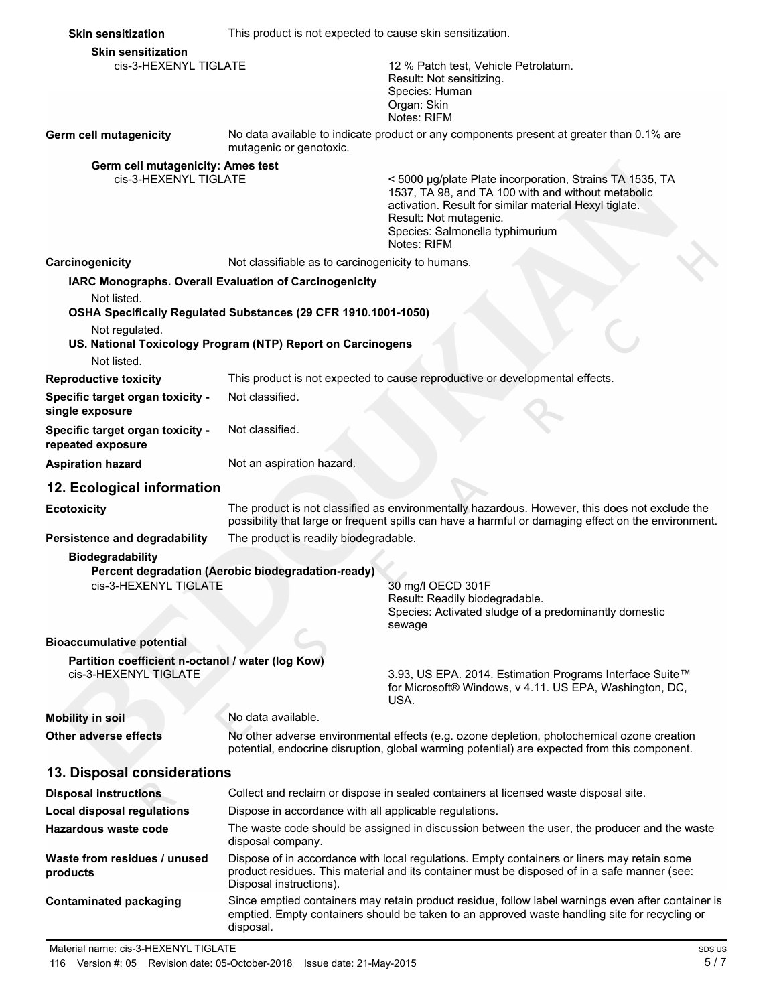| <b>Skin sensitization</b>                             | This product is not expected to cause skin sensitization.      |                                                                                                                                                                                                                                                      |
|-------------------------------------------------------|----------------------------------------------------------------|------------------------------------------------------------------------------------------------------------------------------------------------------------------------------------------------------------------------------------------------------|
| <b>Skin sensitization</b>                             |                                                                |                                                                                                                                                                                                                                                      |
| cis-3-HEXENYL TIGLATE                                 |                                                                | 12 % Patch test, Vehicle Petrolatum.<br>Result: Not sensitizing.                                                                                                                                                                                     |
|                                                       |                                                                | Species: Human                                                                                                                                                                                                                                       |
|                                                       |                                                                | Organ: Skin<br>Notes: RIFM                                                                                                                                                                                                                           |
| Germ cell mutagenicity                                | mutagenic or genotoxic.                                        | No data available to indicate product or any components present at greater than 0.1% are                                                                                                                                                             |
| Germ cell mutagenicity: Ames test                     |                                                                |                                                                                                                                                                                                                                                      |
| cis-3-HEXENYL TIGLATE                                 |                                                                | < 5000 µg/plate Plate incorporation, Strains TA 1535, TA<br>1537, TA 98, and TA 100 with and without metabolic<br>activation. Result for similar material Hexyl tiglate.<br>Result: Not mutagenic.<br>Species: Salmonella typhimurium<br>Notes: RIFM |
| Carcinogenicity                                       | Not classifiable as to carcinogenicity to humans.              |                                                                                                                                                                                                                                                      |
|                                                       | IARC Monographs. Overall Evaluation of Carcinogenicity         |                                                                                                                                                                                                                                                      |
| Not listed.                                           |                                                                |                                                                                                                                                                                                                                                      |
|                                                       | OSHA Specifically Regulated Substances (29 CFR 1910.1001-1050) |                                                                                                                                                                                                                                                      |
| Not regulated.<br>Not listed.                         | US. National Toxicology Program (NTP) Report on Carcinogens    |                                                                                                                                                                                                                                                      |
| <b>Reproductive toxicity</b>                          |                                                                | This product is not expected to cause reproductive or developmental effects.                                                                                                                                                                         |
| Specific target organ toxicity -                      | Not classified.                                                |                                                                                                                                                                                                                                                      |
| single exposure                                       |                                                                |                                                                                                                                                                                                                                                      |
| Specific target organ toxicity -<br>repeated exposure | Not classified.                                                |                                                                                                                                                                                                                                                      |
| <b>Aspiration hazard</b>                              | Not an aspiration hazard.                                      |                                                                                                                                                                                                                                                      |
| 12. Ecological information                            |                                                                |                                                                                                                                                                                                                                                      |
| <b>Ecotoxicity</b>                                    |                                                                | The product is not classified as environmentally hazardous. However, this does not exclude the<br>possibility that large or frequent spills can have a harmful or damaging effect on the environment.                                                |
| Persistence and degradability                         | The product is readily biodegradable.                          |                                                                                                                                                                                                                                                      |
| <b>Biodegradability</b>                               |                                                                |                                                                                                                                                                                                                                                      |
| cis-3-HEXENYL TIGLATE                                 | Percent degradation (Aerobic biodegradation-ready)             | 30 mg/l OECD 301F                                                                                                                                                                                                                                    |
|                                                       |                                                                | Result: Readily biodegradable.                                                                                                                                                                                                                       |
|                                                       |                                                                | Species: Activated sludge of a predominantly domestic                                                                                                                                                                                                |
| <b>Bioaccumulative potential</b>                      |                                                                | sewage                                                                                                                                                                                                                                               |
| Partition coefficient n-octanol / water (log Kow)     |                                                                |                                                                                                                                                                                                                                                      |
| cis-3-HEXENYL TIGLATE                                 |                                                                | 3.93, US EPA. 2014. Estimation Programs Interface Suite™<br>for Microsoft® Windows, v 4.11. US EPA, Washington, DC,<br>USA.                                                                                                                          |
| <b>Mobility in soil</b>                               | No data available.                                             |                                                                                                                                                                                                                                                      |
| Other adverse effects                                 |                                                                | No other adverse environmental effects (e.g. ozone depletion, photochemical ozone creation<br>potential, endocrine disruption, global warming potential) are expected from this component.                                                           |
| 13. Disposal considerations                           |                                                                |                                                                                                                                                                                                                                                      |
| <b>Disposal instructions</b>                          |                                                                | Collect and reclaim or dispose in sealed containers at licensed waste disposal site.                                                                                                                                                                 |
| <b>Local disposal regulations</b>                     | Dispose in accordance with all applicable regulations.         |                                                                                                                                                                                                                                                      |
| <b>Hazardous waste code</b>                           | disposal company.                                              | The waste code should be assigned in discussion between the user, the producer and the waste                                                                                                                                                         |
| Waste from residues / unused<br>products              | Disposal instructions).                                        | Dispose of in accordance with local regulations. Empty containers or liners may retain some<br>product residues. This material and its container must be disposed of in a safe manner (see:                                                          |
| <b>Contaminated packaging</b>                         | disposal.                                                      | Since emptied containers may retain product residue, follow label warnings even after container is<br>emptied. Empty containers should be taken to an approved waste handling site for recycling or                                                  |
| Material name: cis-3-HEXENYL TIGLATE                  |                                                                | SDS US                                                                                                                                                                                                                                               |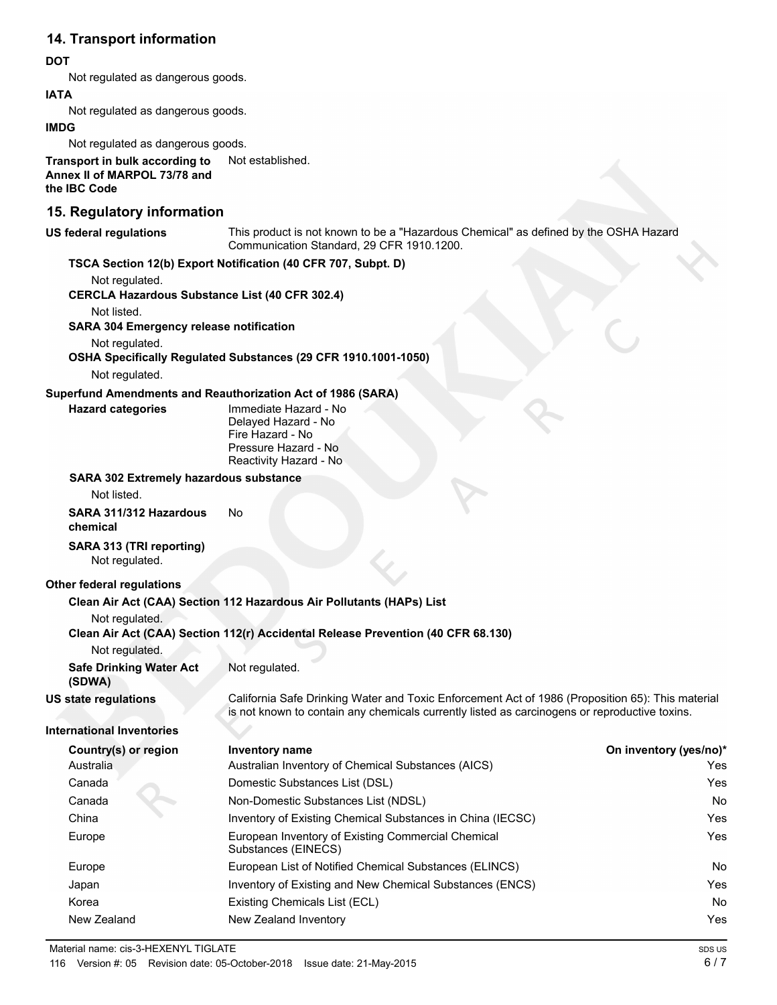## **14. Transport information**

#### **DOT**

Not regulated as dangerous goods.

#### **IATA**

Not regulated as dangerous goods.

#### **IMDG**

Not regulated as dangerous goods.

**Transport in bulk according to** Not established. **Annex II of MARPOL 73/78 and the IBC Code**

### **15. Regulatory information**

#### **US federal regulations**

This product is not known to be a "Hazardous Chemical" as defined by the OSHA Hazard Communication Standard, 29 CFR 1910.1200.

#### **TSCA Section 12(b) Export Notification (40 CFR 707, Subpt. D)**

Not regulated.

**CERCLA Hazardous Substance List (40 CFR 302.4)**

Not listed.

**SARA 304 Emergency release notification**

Not regulated.

# **OSHA Specifically Regulated Substances (29 CFR 1910.1001-1050)**

Not regulated.

**Hazard categories**

#### **Superfund Amendments and Reauthorization Act of 1986 (SARA)**

Immediate Hazard - No Delayed Hazard - No Fire Hazard - No Pressure Hazard - No Reactivity Hazard - No

#### **SARA 302 Extremely hazardous substance**

Not listed.

#### **SARA 311/312 Hazardous** No **chemical**

**SARA 313 (TRI reporting)** Not regulated.

#### **Other federal regulations**

#### **Clean Air Act (CAA) Section 112 Hazardous Air Pollutants (HAPs) List**

Not regulated.

#### **Clean Air Act (CAA) Section 112(r) Accidental Release Prevention (40 CFR 68.130)**

Not regulated.

**Safe Drinking Water Act** Not regulated.

#### **(SDWA) US state regulations**

California Safe Drinking Water and Toxic Enforcement Act of 1986 (Proposition 65): This material is not known to contain any chemicals currently listed as carcinogens or reproductive toxins.

#### **International Inventories**

| Country(s) or region | Inventory name                                                            | On inventory (yes/no)* |
|----------------------|---------------------------------------------------------------------------|------------------------|
| Australia            | Australian Inventory of Chemical Substances (AICS)                        | Yes.                   |
| Canada               | Domestic Substances List (DSL)                                            | Yes                    |
| Canada               | Non-Domestic Substances List (NDSL)                                       | No.                    |
| China                | Inventory of Existing Chemical Substances in China (IECSC)                | Yes.                   |
| Europe               | European Inventory of Existing Commercial Chemical<br>Substances (EINECS) | Yes                    |
| Europe               | European List of Notified Chemical Substances (ELINCS)                    | No.                    |
| Japan                | Inventory of Existing and New Chemical Substances (ENCS)                  | Yes.                   |
| Korea                | Existing Chemicals List (ECL)                                             | No.                    |
| New Zealand          | New Zealand Inventory                                                     | Yes                    |